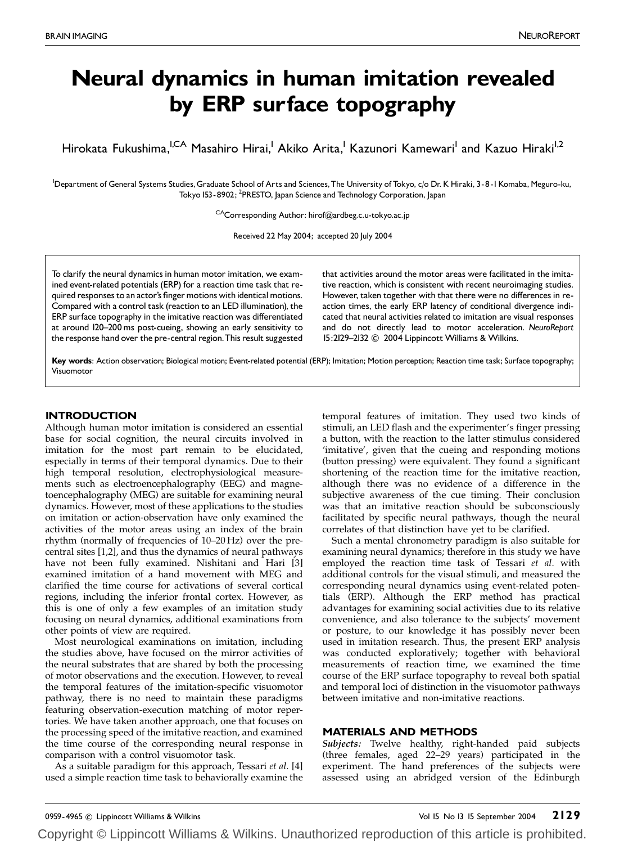# Neural dynamics in human imitation revealed by ERP surface topography

Hirokata Fukushima,<sup>I,CA</sup> Masahiro Hirai,<sup>1</sup> Akiko Arita,<sup>1</sup> Kazunori Kamewari<sup>1</sup> and Kazuo Hiraki<sup>1,2</sup>

<sup>1</sup>Department of General Systems Studies, Graduate School of Arts and Sciences, The University of Tokyo, c/o Dr. K Hiraki, 3-8-I Komaba, Meguro-ku, Tokyo 153-8902; <sup>2</sup>PRESTO, Japan Science and Technology Corporation, Japan

<sup>CA</sup>Corresponding Author: hirof@ardbeg.c.u-tokyo.ac.jp

Received 22 May 2004; accepted 20 July 2004

To clarify the neural dynamics in human motor imitation, we examined event-related potentials (ERP) for a reaction time task that required responses to an actor's finger motions with identical motions. Compared with a control task (reaction to an LED illumination), the ERP surface topography in the imitative reaction was differentiated at around 120-200 ms post-cueing, showing an early sensitivity to the response hand over the pre-central region.This result suggested

that activities around the motor areas were facilitated in the imitative reaction, which is consistent with recent neuroimaging studies. However, taken together with that there were no differences in reaction times, the early ERP latency of conditional divergence indicated that neural activities related to imitation are visual responses and do not directly lead to motor acceleration. NeuroReport 15:2129-2132 C 2004 Lippincott Williams & Wilkins.

Key words: Action observation; Biological motion; Event-related potential (ERP); Imitation; Motion perception; Reaction time task; Surface topography; Visuomotor

## INTRODUCTION

Although human motor imitation is considered an essential base for social cognition, the neural circuits involved in imitation for the most part remain to be elucidated, especially in terms of their temporal dynamics. Due to their high temporal resolution, electrophysiological measurements such as electroencephalography (EEG) and magnetoencephalography (MEG) are suitable for examining neural dynamics. However, most of these applications to the studies on imitation or action-observation have only examined the activities of the motor areas using an index of the brain rhythm (normally of frequencies of 10–20 Hz) over the precentral sites [1,2], and thus the dynamics of neural pathways have not been fully examined. Nishitani and Hari [3] examined imitation of a hand movement with MEG and clarified the time course for activations of several cortical regions, including the inferior frontal cortex. However, as this is one of only a few examples of an imitation study focusing on neural dynamics, additional examinations from other points of view are required.

Most neurological examinations on imitation, including the studies above, have focused on the mirror activities of the neural substrates that are shared by both the processing of motor observations and the execution. However, to reveal the temporal features of the imitation-specific visuomotor pathway, there is no need to maintain these paradigms featuring observation-execution matching of motor repertories. We have taken another approach, one that focuses on the processing speed of the imitative reaction, and examined the time course of the corresponding neural response in comparison with a control visuomotor task.

As a suitable paradigm for this approach, Tessari et al. [4] used a simple reaction time task to behaviorally examine the temporal features of imitation. They used two kinds of stimuli, an LED flash and the experimenter's finger pressing a button, with the reaction to the latter stimulus considered 'imitative', given that the cueing and responding motions (button pressing) were equivalent. They found a significant shortening of the reaction time for the imitative reaction, although there was no evidence of a difference in the subjective awareness of the cue timing. Their conclusion was that an imitative reaction should be subconsciously facilitated by specific neural pathways, though the neural correlates of that distinction have yet to be clarified.

Such a mental chronometry paradigm is also suitable for examining neural dynamics; therefore in this study we have employed the reaction time task of Tessari et al. with additional controls for the visual stimuli, and measured the corresponding neural dynamics using event-related potentials (ERP). Although the ERP method has practical advantages for examining social activities due to its relative convenience, and also tolerance to the subjects' movement or posture, to our knowledge it has possibly never been used in imitation research. Thus, the present ERP analysis was conducted exploratively; together with behavioral measurements of reaction time, we examined the time course of the ERP surface topography to reveal both spatial and temporal loci of distinction in the visuomotor pathways between imitative and non-imitative reactions.

## MATERIALS AND METHODS

Subjects: Twelve healthy, right-handed paid subjects (three females, aged 22–29 years) participated in the experiment. The hand preferences of the subjects were assessed using an abridged version of the Edinburgh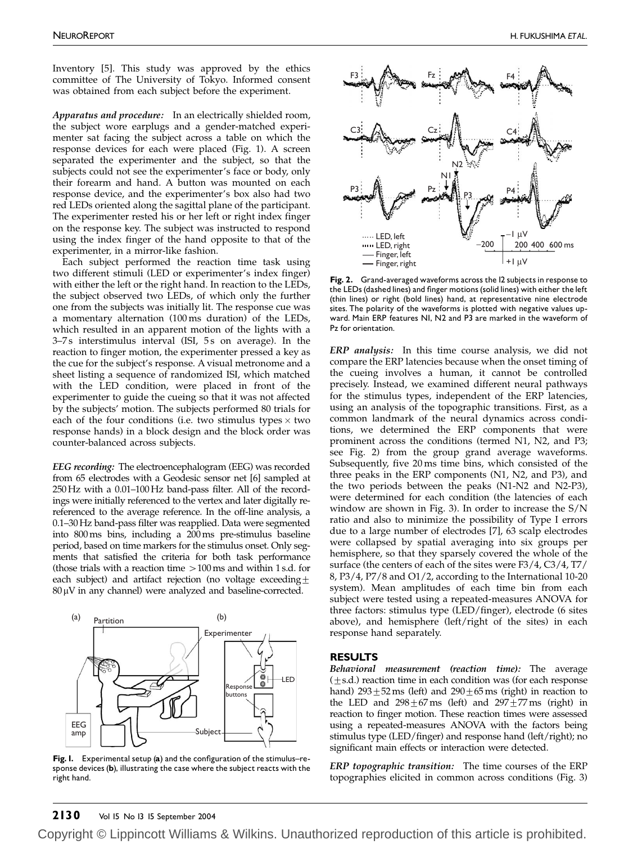Inventory [5]. This study was approved by the ethics committee of The University of Tokyo. Informed consent was obtained from each subject before the experiment.

Apparatus and procedure: In an electrically shielded room, the subject wore earplugs and a gender-matched experimenter sat facing the subject across a table on which the response devices for each were placed (Fig. 1). A screen separated the experimenter and the subject, so that the subjects could not see the experimenter's face or body, only their forearm and hand. A button was mounted on each response device, and the experimenter's box also had two red LEDs oriented along the sagittal plane of the participant. The experimenter rested his or her left or right index finger on the response key. The subject was instructed to respond using the index finger of the hand opposite to that of the experimenter, in a mirror-like fashion.

Each subject performed the reaction time task using two different stimuli (LED or experimenter's index finger) with either the left or the right hand. In reaction to the LEDs, the subject observed two LEDs, of which only the further one from the subjects was initially lit. The response cue was a momentary alternation (100 ms duration) of the LEDs, which resulted in an apparent motion of the lights with a 3-7s interstimulus interval (ISI, 5s on average). In the reaction to finger motion, the experimenter pressed a key as the cue for the subject's response. A visual metronome and a sheet listing a sequence of randomized ISI, which matched with the LED condition, were placed in front of the experimenter to guide the cueing so that it was not affected by the subjects' motion. The subjects performed 80 trials for each of the four conditions (i.e. two stimulus types  $\times$  two response hands) in a block design and the block order was counter-balanced across subjects.

EEG recording: The electroencephalogram (EEG) was recorded from 65 electrodes with a Geodesic sensor net [6] sampled at 250Hz with a 0.01–100 Hz band-pass filter. All of the recordings were initially referenced to the vertex and later digitally rereferenced to the average reference. In the off-line analysis, a 0.1–30Hz band-pass filter was reapplied. Data were segmented into 800ms bins, including a 200ms pre-stimulus baseline period, based on time markers for the stimulus onset. Only segments that satisfied the criteria for both task performance (those trials with a reaction time  $>100$  ms and within 1 s.d. for each subject) and artifact rejection (no voltage exceeding $\pm$  $80 \mu$ V in any channel) were analyzed and baseline-corrected.



Fig. I. Experimental setup  $(a)$  and the configuration of the stimulus-response devices (b), illustrating the case where the subject reacts with the right hand.



Fig. 2. Grand-averaged waveforms across the I2 subjects in response to the LEDs (dashed lines) and finger motions (solid lines) with either the left (thin lines) or right (bold lines) hand, at representative nine electrode sites. The polarity of the waveforms is plotted with negative values upward. Main ERP features N1, N2 and P3 are marked in the waveform of Pz for orientation.

ERP analysis: In this time course analysis, we did not compare the ERP latencies because when the onset timing of the cueing involves a human, it cannot be controlled precisely. Instead, we examined different neural pathways for the stimulus types, independent of the ERP latencies, using an analysis of the topographic transitions. First, as a common landmark of the neural dynamics across conditions, we determined the ERP components that were prominent across the conditions (termed N1, N2, and P3; see Fig. 2) from the group grand average waveforms. Subsequently, five 20 ms time bins, which consisted of the three peaks in the ERP components (N1, N2, and P3), and the two periods between the peaks (N1-N2 and N2-P3), were determined for each condition (the latencies of each window are shown in Fig. 3). In order to increase the S/N ratio and also to minimize the possibility of Type I errors due to a large number of electrodes [7], 63 scalp electrodes were collapsed by spatial averaging into six groups per hemisphere, so that they sparsely covered the whole of the surface (the centers of each of the sites were F3/4, C3/4, T7/ 8, P3/4, P7/8 and O1/2, according to the International 10-20 system). Mean amplitudes of each time bin from each subject were tested using a repeated-measures ANOVA for three factors: stimulus type (LED/finger), electrode (6 sites above), and hemisphere (left/right of the sites) in each response hand separately.

## RESULTS

Behavioral measurement (reaction time): The average  $(\pm s.d.)$  reaction time in each condition was (for each response hand)  $293\pm52$  ms (left) and  $290\pm65$  ms (right) in reaction to the LED and  $298 \pm 67 \text{ ms}$  (left) and  $297 \pm 77 \text{ ms}$  (right) in reaction to finger motion. These reaction times were assessed using a repeated-measures ANOVA with the factors being stimulus type (LED/finger) and response hand (left/right); no significant main effects or interaction were detected.

ERP topographic transition: The time courses of the ERP topographies elicited in common across conditions (Fig. 3)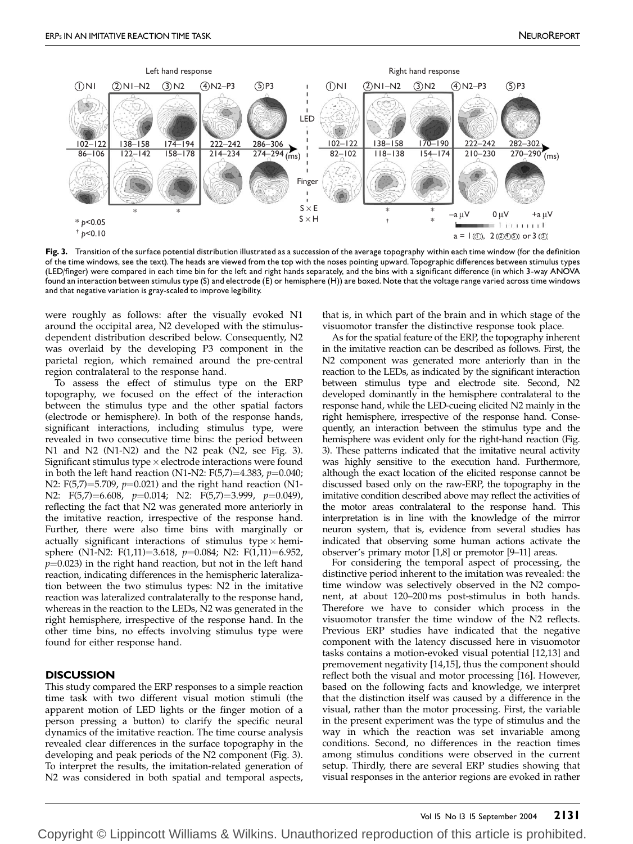

Fig. 3. Transition of the surface potential distribution illustrated as a succession of the average topography within each time window (for the definition of the time windows, see the text). The heads are viewed from the top with the noses pointing upward. Topographic differences between stimulus types (LED/finger) were compared in each time bin for the left and right hands separately, and the bins with a significant difference (in which 3-way ANOVA found an interaction between stimulus type (S) and electrode (E) or hemisphere (H)) are boxed.Note that the voltage range varied across time windows and that negative variation is gray-scaled to improve legibility.

were roughly as follows: after the visually evoked N1 around the occipital area, N2 developed with the stimulusdependent distribution described below. Consequently, N2 was overlaid by the developing P3 component in the parietal region, which remained around the pre-central region contralateral to the response hand.

To assess the effect of stimulus type on the ERP topography, we focused on the effect of the interaction between the stimulus type and the other spatial factors (electrode or hemisphere). In both of the response hands, significant interactions, including stimulus type, were revealed in two consecutive time bins: the period between N1 and N2 (N1-N2) and the N2 peak (N2, see Fig. 3). Significant stimulus type  $\times$  electrode interactions were found in both the left hand reaction (N1-N2:  $F(5,7)=4.383$ ,  $p=0.040$ ; N2: F(5,7)=5.709,  $p=0.021$ ) and the right hand reaction (N1-N2: F(5,7)=6.608,  $p=0.014$ ; N2: F(5,7)=3.999,  $p=0.049$ ), reflecting the fact that N2 was generated more anteriorly in the imitative reaction, irrespective of the response hand. Further, there were also time bins with marginally or actually significant interactions of stimulus type  $\times$  hemisphere (N1-N2: F(1,11)=3.618, p=0.084; N2: F(1,11)=6.952,  $p=0.023$ ) in the right hand reaction, but not in the left hand reaction, indicating differences in the hemispheric lateralization between the two stimulus types: N2 in the imitative reaction was lateralized contralaterally to the response hand, whereas in the reaction to the LEDs, N2 was generated in the right hemisphere, irrespective of the response hand. In the other time bins, no effects involving stimulus type were found for either response hand.

### **DISCUSSION**

This study compared the ERP responses to a simple reaction time task with two different visual motion stimuli (the apparent motion of LED lights or the finger motion of a person pressing a button) to clarify the specific neural dynamics of the imitative reaction. The time course analysis revealed clear differences in the surface topography in the developing and peak periods of the N2 component (Fig. 3). To interpret the results, the imitation-related generation of N2 was considered in both spatial and temporal aspects, that is, in which part of the brain and in which stage of the visuomotor transfer the distinctive response took place.

As for the spatial feature of the ERP, the topography inherent in the imitative reaction can be described as follows. First, the N2 component was generated more anteriorly than in the reaction to the LEDs, as indicated by the significant interaction between stimulus type and electrode site. Second, N2 developed dominantly in the hemisphere contralateral to the response hand, while the LED-cueing elicited N2 mainly in the right hemisphere, irrespective of the response hand. Consequently, an interaction between the stimulus type and the hemisphere was evident only for the right-hand reaction (Fig. 3). These patterns indicated that the imitative neural activity was highly sensitive to the execution hand. Furthermore, although the exact location of the elicited response cannot be discussed based only on the raw-ERP, the topography in the imitative condition described above may reflect the activities of the motor areas contralateral to the response hand. This interpretation is in line with the knowledge of the mirror neuron system, that is, evidence from several studies has indicated that observing some human actions activate the observer's primary motor [1,8] or premotor [9–11] areas.

For considering the temporal aspect of processing, the distinctive period inherent to the imitation was revealed: the time window was selectively observed in the N2 component, at about 120–200 ms post-stimulus in both hands. Therefore we have to consider which process in the visuomotor transfer the time window of the N2 reflects. Previous ERP studies have indicated that the negative component with the latency discussed here in visuomotor tasks contains a motion-evoked visual potential [12,13] and premovement negativity [14,15], thus the component should reflect both the visual and motor processing [16]. However, based on the following facts and knowledge, we interpret that the distinction itself was caused by a difference in the visual, rather than the motor processing. First, the variable in the present experiment was the type of stimulus and the way in which the reaction was set invariable among conditions. Second, no differences in the reaction times among stimulus conditions were observed in the current setup. Thirdly, there are several ERP studies showing that visual responses in the anterior regions are evoked in rather